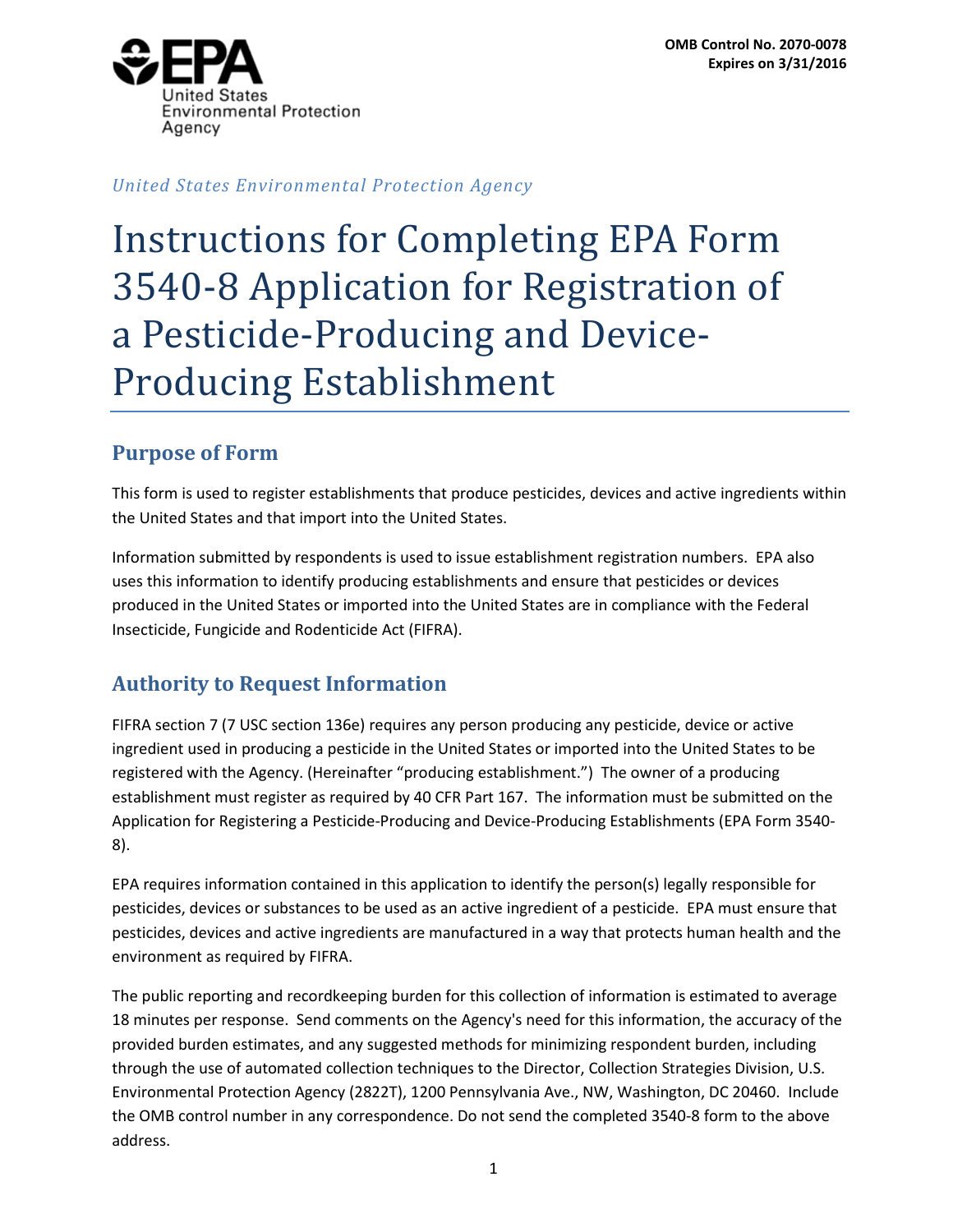

*United States Environmental Protection Agency*

# Instructions for Completing EPA Form 3540-8 Application for Registration of a Pesticide-Producing and Device-Producing Establishment

# **Purpose of Form**

This form is used to register establishments that produce pesticides, devices and active ingredients within the United States and that import into the United States.

Information submitted by respondents is used to issue establishment registration numbers. EPA also uses this information to identify producing establishments and ensure that pesticides or devices produced in the United States or imported into the United States are in compliance with the Federal Insecticide, Fungicide and Rodenticide Act (FIFRA).

# **Authority to Request Information**

FIFRA section 7 (7 USC section 136e) requires any person producing any pesticide, device or active ingredient used in producing a pesticide in the United States or imported into the United States to be registered with the Agency. (Hereinafter "producing establishment.") The owner of a producing establishment must register as required by 40 CFR Part 167. The information must be submitted on the Application for Registering a Pesticide-Producing and Device-Producing Establishments (EPA Form 3540- 8).

EPA requires information contained in this application to identify the person(s) legally responsible for pesticides, devices or substances to be used as an active ingredient of a pesticide. EPA must ensure that pesticides, devices and active ingredients are manufactured in a way that protects human health and the environment as required by FIFRA.

The public reporting and recordkeeping burden for this collection of information is estimated to average 18 minutes per response. Send comments on the Agency's need for this information, the accuracy of the provided burden estimates, and any suggested methods for minimizing respondent burden, including through the use of automated collection techniques to the Director, Collection Strategies Division, U.S. Environmental Protection Agency (2822T), 1200 Pennsylvania Ave., NW, Washington, DC 20460. Include the OMB control number in any correspondence. Do not send the completed 3540-8 form to the above address.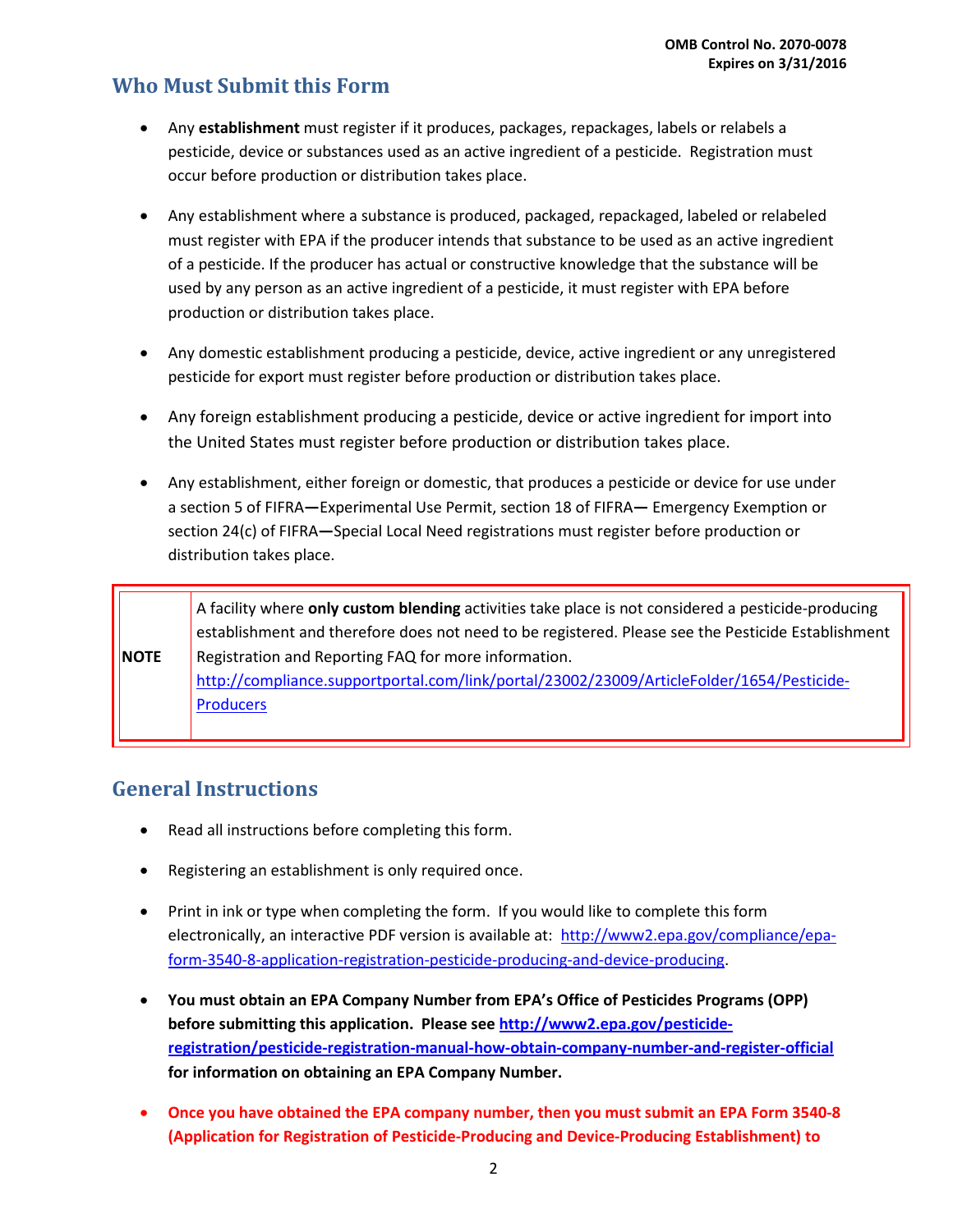#### **Who Must Submit this Form**

- Any **establishment** must register if it produces, packages, repackages, labels or relabels a pesticide, device or substances used as an active ingredient of a pesticide. Registration must occur before production or distribution takes place.
- Any establishment where a substance is produced, packaged, repackaged, labeled or relabeled must register with EPA if the producer intends that substance to be used as an active ingredient of a pesticide. If the producer has actual or constructive knowledge that the substance will be used by any person as an active ingredient of a pesticide, it must register with EPA before production or distribution takes place.
- Any domestic establishment producing a pesticide, device, active ingredient or any unregistered pesticide for export must register before production or distribution takes place.
- Any foreign establishment producing a pesticide, device or active ingredient for import into the United States must register before production or distribution takes place.
- Any establishment, either foreign or domestic, that produces a pesticide or device for use under a section 5 of FIFRA**—**Experimental Use Permit, section 18 of FIFRA**—** Emergency Exemption or section 24(c) of FIFRA**—**Special Local Need registrations must register before production or distribution takes place.

**NOTE** A facility where **only custom blending** activities take place is not considered a pesticide-producing establishment and therefore does not need to be registered. Please see the Pesticide Establishment Registration and Reporting FAQ for more information. [http://compliance.supportportal.com/link/portal/23002/23009/ArticleFolder/1654/Pesticide-](http://compliance.supportportal.com/link/portal/23002/23009/ArticleFolder/1654/Pesticide-Producers)**[Producers](http://compliance.supportportal.com/link/portal/23002/23009/ArticleFolder/1654/Pesticide-Producers)** 

### **General Instructions**

- Read all instructions before completing this form.
- Registering an establishment is only required once.
- Print in ink or type when completing the form. If you would like to complete this form electronically, an interactive PDF version is available at: [http://www2.epa.gov/compliance/epa](http://www2.epa.gov/compliance/epa-form-3540-8-application-registration-pesticide-producing-and-device-producing)[form-3540-8-application-registration-pesticide-producing-and-device-producing.](http://www2.epa.gov/compliance/epa-form-3540-8-application-registration-pesticide-producing-and-device-producing)
- **You must obtain an EPA Company Number from EPA's Office of Pesticides Programs (OPP) before submitting this application. Please se[e http://www2.epa.gov/pesticide](http://www2.epa.gov/pesticide-registration/pesticide-registration-manual-how-obtain-company-number-and-register-official)[registration/pesticide-registration-manual-how-obtain-company-number-and-register-official](http://www2.epa.gov/pesticide-registration/pesticide-registration-manual-how-obtain-company-number-and-register-official) for information on obtaining an EPA Company Number.**
- **Once you have obtained the EPA company number, then you must submit an EPA Form 3540-8 (Application for Registration of Pesticide-Producing and Device-Producing Establishment) to**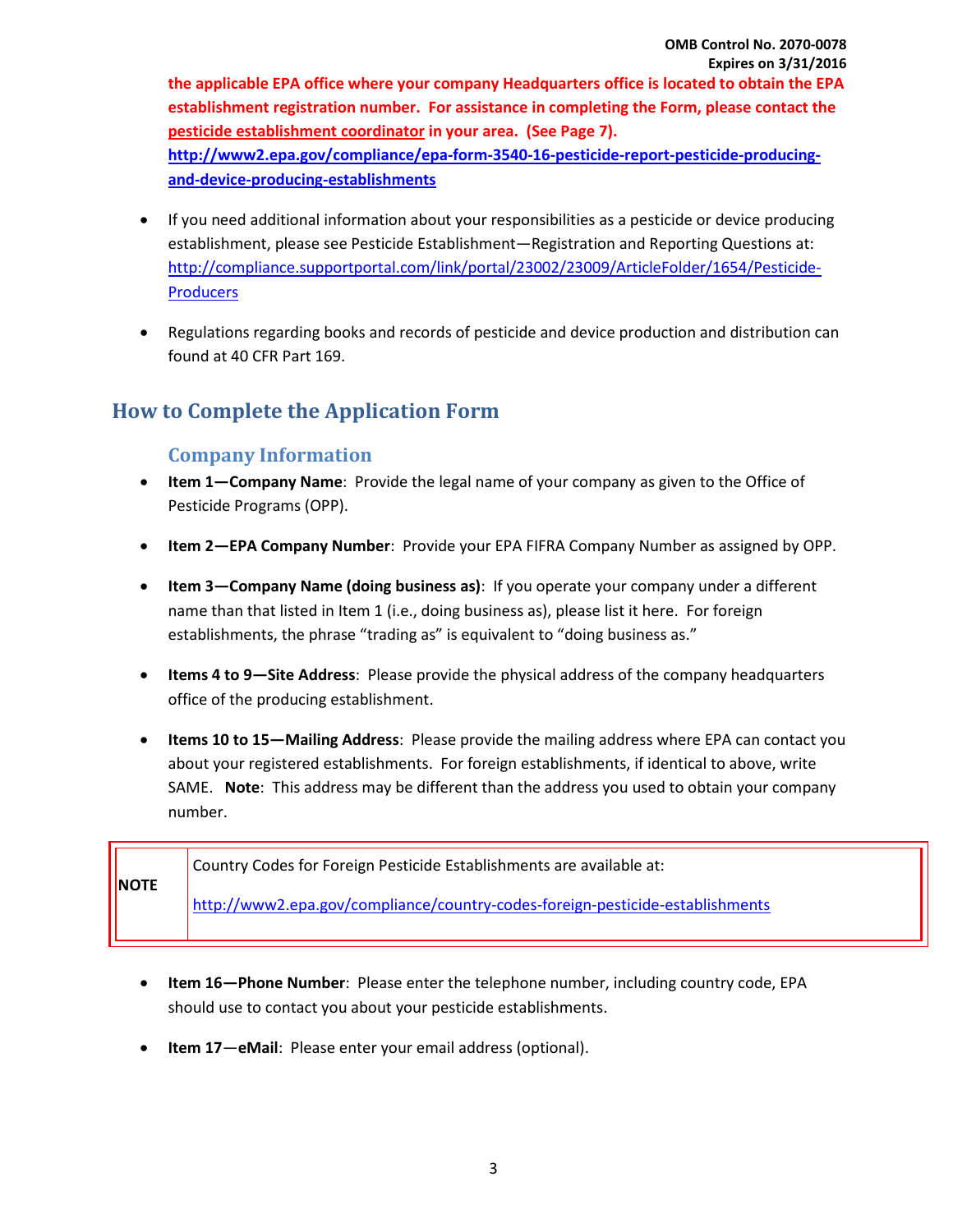**the applicable EPA office where your company Headquarters office is located to obtain the EPA establishment registration number. For assistance in completing the Form, please contact the [pesticide establishment coordinator](http://www.epa.gov/compliance/contact/monitoring-establish.html) in your area. (See Page 7). [http://www2.epa.gov/compliance/epa-form-3540-16-pesticide-report-pesticide-producing](http://www2.epa.gov/compliance/epa-form-3540-16-pesticide-report-pesticide-producing-and-device-producing-establishments)[and-device-producing-establishments](http://www2.epa.gov/compliance/epa-form-3540-16-pesticide-report-pesticide-producing-and-device-producing-establishments)**

- If you need additional information about your responsibilities as a pesticide or device producing establishment, please see Pesticide Establishment—Registration and Reporting Questions at: [http://compliance.supportportal.com/link/portal/23002/23009/ArticleFolder/1654/Pesticide-](http://compliance.supportportal.com/link/portal/23002/23009/ArticleFolder/1654/Pesticide-Producers)**[Producers](http://compliance.supportportal.com/link/portal/23002/23009/ArticleFolder/1654/Pesticide-Producers)**
- Regulations regarding books and records of pesticide and device production and distribution can found at 40 CFR Part 169.

# **How to Complete the Application Form**

#### **Company Information**

- **Item 1—Company Name**: Provide the legal name of your company as given to the Office of Pesticide Programs (OPP).
- **Item 2—EPA Company Number**: Provide your EPA FIFRA Company Number as assigned by OPP.
- **Item 3—Company Name (doing business as)**: If you operate your company under a different name than that listed in Item 1 (i.e., doing business as), please list it here.For foreign establishments, the phrase "trading as" is equivalent to "doing business as."
- **Items 4 to 9—Site Address**: Please provide the physical address of the company headquarters office of the producing establishment.
- **Items 10 to 15—Mailing Address**: Please provide the mailing address where EPA can contact you about your registered establishments. For foreign establishments, if identical to above, write SAME. **Note**: This address may be different than the address you used to obtain your company number.

| <b>INOTE</b> | Country Codes for Foreign Pesticide Establishments are available at:          |
|--------------|-------------------------------------------------------------------------------|
|              | http://www2.epa.gov/compliance/country-codes-foreign-pesticide-establishments |

- **Item 16—Phone Number**: Please enter the telephone number, including country code, EPA should use to contact you about your pesticide establishments.
- **Item 17**—**eMail**: Please enter your email address (optional).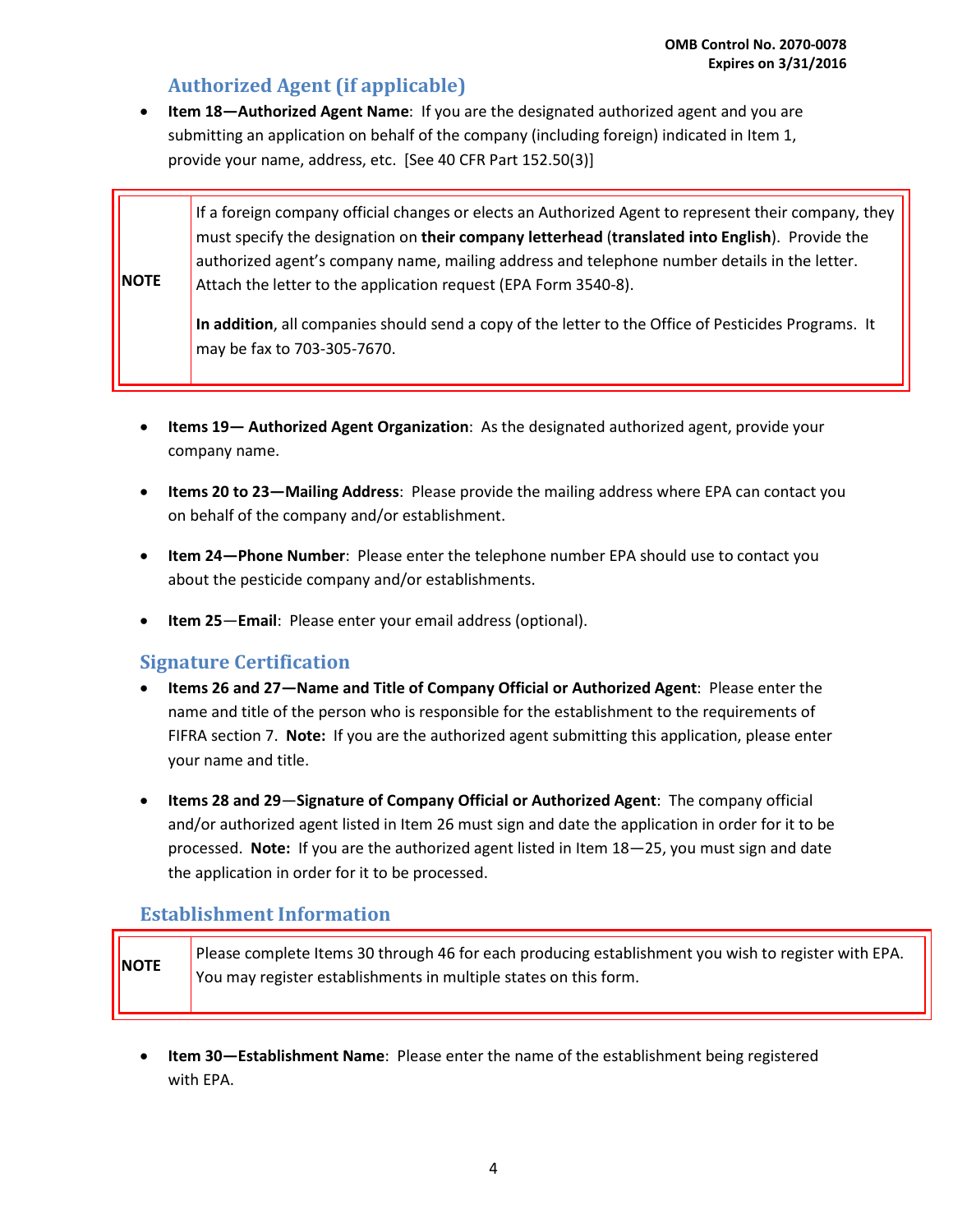#### **Authorized Agent (if applicable)**

• **Item 18—Authorized Agent Name**: If you are the designated authorized agent and you are submitting an application on behalf of the company (including foreign) indicated in Item 1, provide your name, address, etc. [See 40 CFR Part 152.50(3)]

**NOTE** If a foreign company official changes or elects an Authorized Agent to represent their company, they must specify the designation on **their company letterhead** (**translated into English**). Provide the authorized agent's company name, mailing address and telephone number details in the letter. Attach the letter to the application request (EPA Form 3540-8). **In addition**, all companies should send a copy of the letter to the Office of Pesticides Programs. It may be fax to 703-305-7670.

- **Items 19— Authorized Agent Organization**: As the designated authorized agent, provide your company name.
- **Items 20 to 23—Mailing Address**: Please provide the mailing address where EPA can contact you on behalf of the company and/or establishment.
- **Item 24—Phone Number**: Please enter the telephone number EPA should use to contact you about the pesticide company and/or establishments.
- **Item 25**—**Email**: Please enter your email address (optional).

#### **Signature Certification**

- **Items 26 and 27—Name and Title of Company Official or Authorized Agent**: Please enter the name and title of the person who is responsible for the establishment to the requirements of FIFRA section 7. **Note:** If you are the authorized agent submitting this application, please enter your name and title.
- **Items 28 and 29**—**Signature of Company Official or Authorized Agent**: The company official and/or authorized agent listed in Item 26 must sign and date the application in order for it to be processed. **Note:** If you are the authorized agent listed in Item 18—25, you must sign and date the application in order for it to be processed.

#### **Establishment Information**

| <b>NOTE</b> | Please complete Items 30 through 46 for each producing establishment you wish to register with EPA.<br>You may register establishments in multiple states on this form. |
|-------------|-------------------------------------------------------------------------------------------------------------------------------------------------------------------------|
|             |                                                                                                                                                                         |

• **Item 30—Establishment Name**: Please enter the name of the establishment being registered with EPA.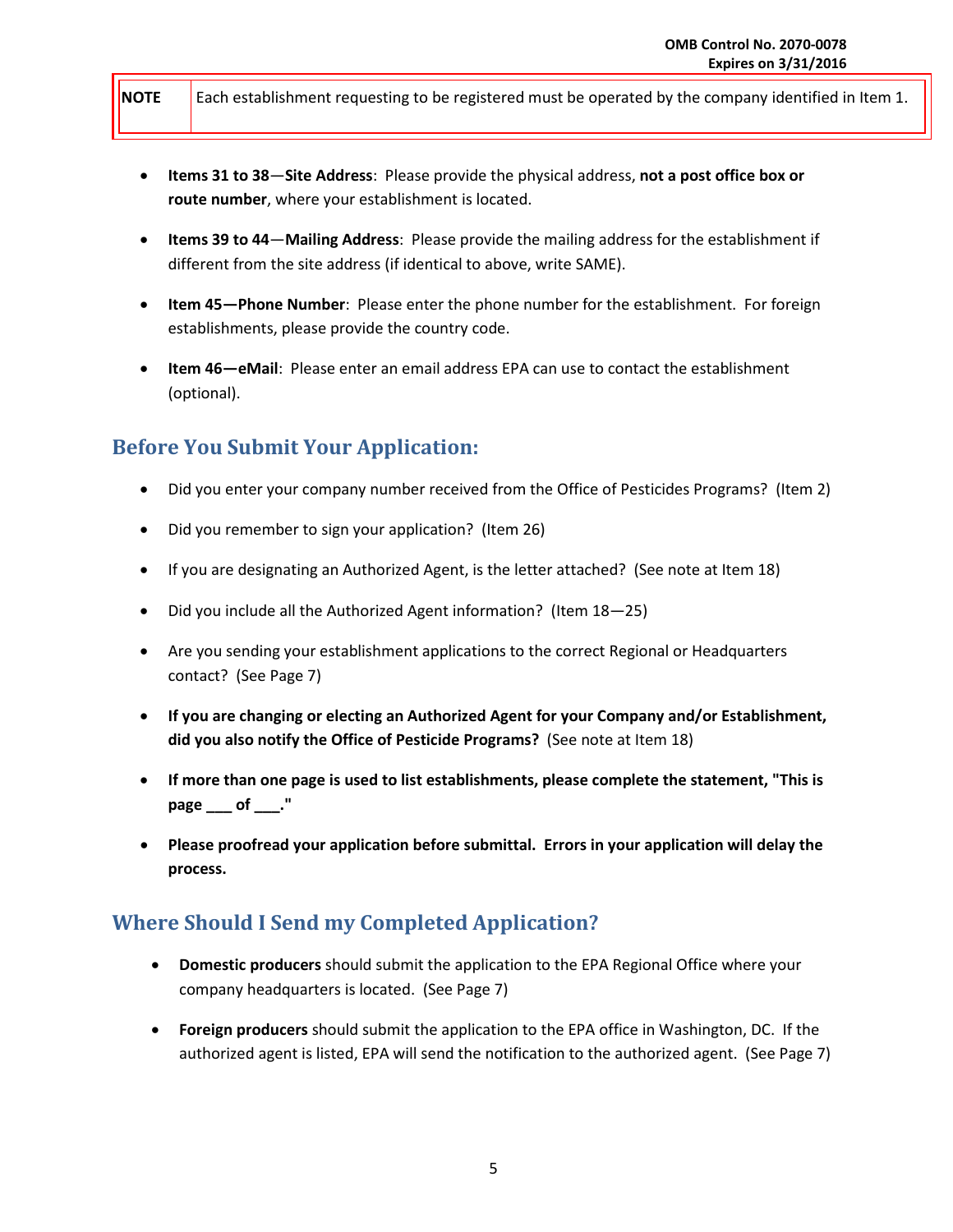**NOTE** Each establishment requesting to be registered must be operated by the company identified in Item 1.

- **Items 31 to 38**—**Site Address**: Please provide the physical address, **not a post office box or route number**, where your establishment is located.
- **Items 39 to 44**—**Mailing Address**: Please provide the mailing address for the establishment if different from the site address (if identical to above, write SAME).
- **Item 45—Phone Number**: Please enter the phone number for the establishment. For foreign establishments, please provide the country code.
- **Item 46—eMail**: Please enter an email address EPA can use to contact the establishment (optional).

# **Before You Submit Your Application:**

- Did you enter your company number received from the Office of Pesticides Programs? (Item 2)
- Did you remember to sign your application? (Item 26)
- If you are designating an Authorized Agent, is the letter attached? (See note at Item 18)
- Did you include all the Authorized Agent information? (Item 18—25)
- Are you sending your establishment applications to the correct Regional or Headquarters contact? (See Page 7)
- **If you are changing or electing an Authorized Agent for your Company and/or Establishment, did you also notify the Office of Pesticide Programs?** (See note at Item 18)
- **If more than one page is used to list establishments, please complete the statement, "This is**  page of ."
- **Please proofread your application before submittal. Errors in your application will delay the process.**

### **Where Should I Send my Completed Application?**

- **Domestic producers** should submit the application to the EPA Regional Office where your company headquarters is located. (See Page 7)
- **Foreign producers** should submit the application to the EPA office in Washington, DC. If the authorized agent is listed, EPA will send the notification to the authorized agent. (See Page 7)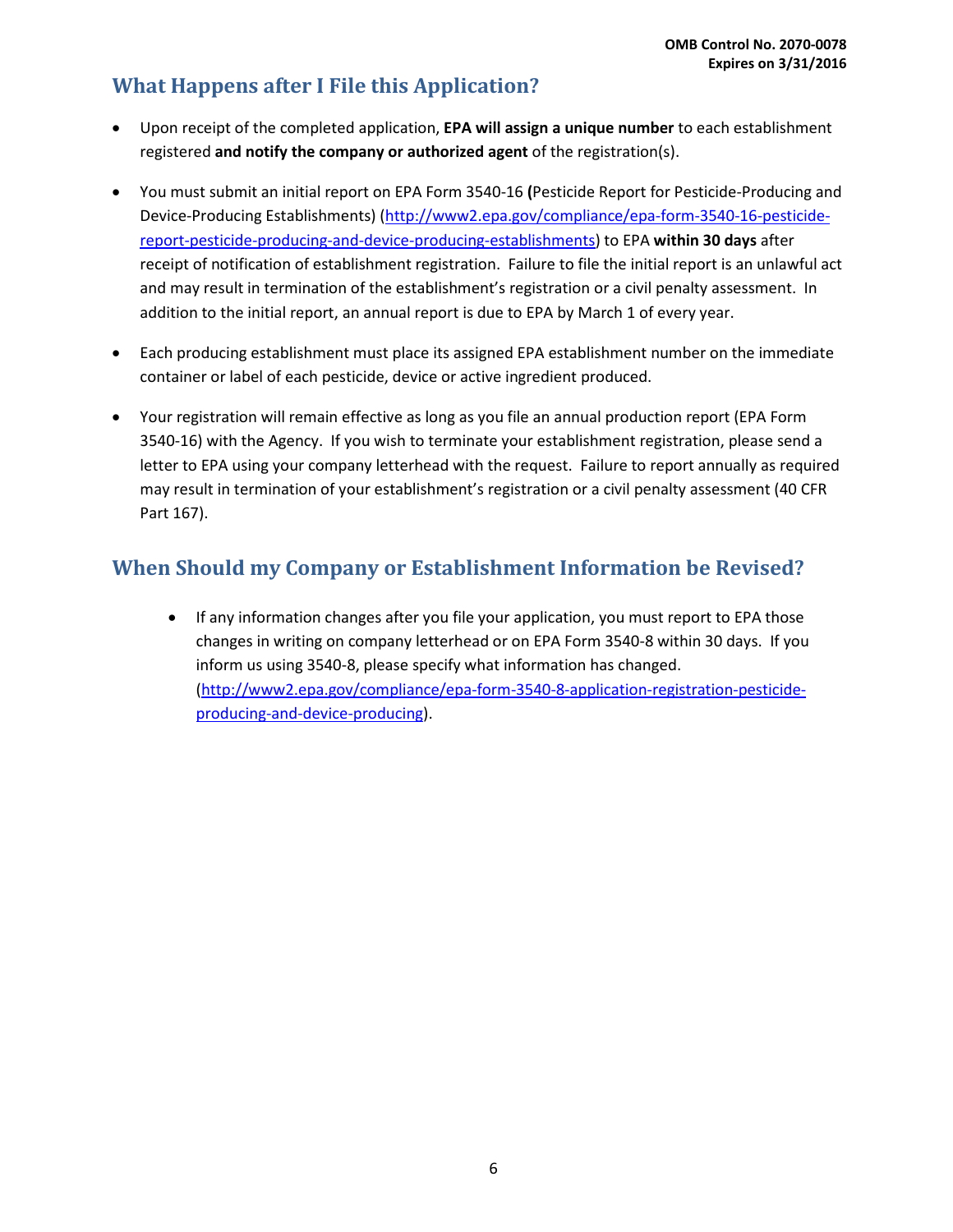# **What Happens after I File this Application?**

- Upon receipt of the completed application, **EPA will assign a unique number** to each establishment registered **and notify the company or authorized agent** of the registration(s).
- You must submit an initial report on EPA Form 3540-16 **(**Pesticide Report for Pesticide-Producing and Device-Producing Establishments) [\(http://www2.epa.gov/compliance/epa-form-3540-16-pesticide](http://www2.epa.gov/compliance/epa-form-3540-16-pesticide-report-pesticide-producing-and-device-producing-establishments)[report-pesticide-producing-and-device-producing-establishments\)](http://www2.epa.gov/compliance/epa-form-3540-16-pesticide-report-pesticide-producing-and-device-producing-establishments) to EPA **within 30 days** after receipt of notification of establishment registration. Failure to file the initial report is an unlawful act and may result in termination of the establishment's registration or a civil penalty assessment. In addition to the initial report, an annual report is due to EPA by March 1 of every year.
- Each producing establishment must place its assigned EPA establishment number on the immediate container or label of each pesticide, device or active ingredient produced.
- Your registration will remain effective as long as you file an annual production report (EPA Form 3540-16) with the Agency. If you wish to terminate your establishment registration, please send a letter to EPA using your company letterhead with the request. Failure to report annually as required may result in termination of your establishment's registration or a civil penalty assessment (40 CFR Part 167).

# **When Should my Company or Establishment Information be Revised?**

• If any information changes after you file your application, you must report to EPA those changes in writing on company letterhead or on EPA Form 3540-8 within 30 days. If you inform us using 3540-8, please specify what information has changed. [\(http://www2.epa.gov/compliance/epa-form-3540-8-application-registration-pesticide](http://www2.epa.gov/compliance/epa-form-3540-8-application-registration-pesticide-producing-and-device-producing)[producing-and-device-producing\)](http://www2.epa.gov/compliance/epa-form-3540-8-application-registration-pesticide-producing-and-device-producing).